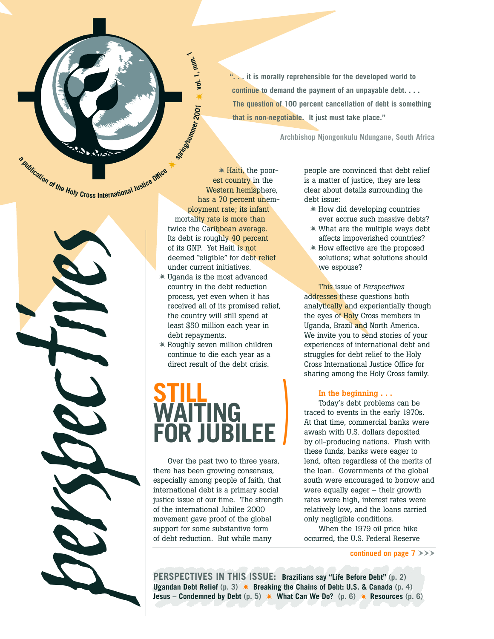**". . . it is morally reprehensible for the developed world to continue to demand the payment of an unpayable debt. . . . The question of 100 percent cancellation of debt is something that is non-negotiable. It just must take place."**

**Archbishop Njongonkulu Ndungane, South Africa**

a publication of the Holy Cross International Justice dition



- Haiti, the poorest country in the Western hemisphere, has a 70 percent unemployment rate; its infant mortality rate is more than twice the Caribbean average. Its debt is roughly 40 percent of its GNP. Yet Haiti is not deemed "eligible" for debt relief under current initiatives.

**StringStrimmer 2001** 

**vol. 1, num. 1**

- Uganda is the most advanced country in the debt reduction process, yet even when it has received all of its promised relief, the country will still spend at least \$50 million each year in debt repayments.
- Roughly seven million children continue to die each year as a direct result of the debt crisis.

## **STILL WAITING FOR JUBILEE )**

Over the past two to three years, there has been growing consensus, especially among people of faith, that international debt is a primary social justice issue of our time. The strength of the international Jubilee 2000 movement gave proof of the global support for some substantive form of debt reduction. But while many

people are convinced that debt relief is a matter of justice, they are less clear about details surrounding the debt issue:

- How did developing countries ever accrue such massive debts?
- What are the multiple ways debt affects impoverished countries?
- How effective are the proposed solutions; what solutions should we espouse?

This issue of *Perspectives* addresses these questions both analytically and experientially though the eyes of Holy Cross members in Uganda, Brazil and North America. We invite you to send stories of your experiences of international debt and struggles for debt relief to the Holy Cross International Justice Office for sharing among the Holy Cross family.

#### **In the beginning . . .**

Today's debt problems can be traced to events in the early 1970s. At that time, commercial banks were awash with U.S. dollars deposited by oil-producing nations. Flush with these funds, banks were eager to lend, often regardless of the merits of the loan. Governments of the global south were encouraged to borrow and were equally eager – their growth rates were high, interest rates were relatively low, and the loans carried only negligible conditions.

When the 1979 oil price hike occurred, the U.S. Federal Reserve

**continued on page**  $7$  $>>$ 

**PERSPECTIVES IN THIS ISSUE: Brazilians say "Life Before Debt" (p. 2) Ugandan Debt Relief** (p. 3) **\* Breaking the Chains of Debt: U.S. & Canada** (p. 4) **Jesus – Condemned by Debt** (p. 5)  $*$  What Can We Do? (p. 6)  $*$  Resources (p. 6)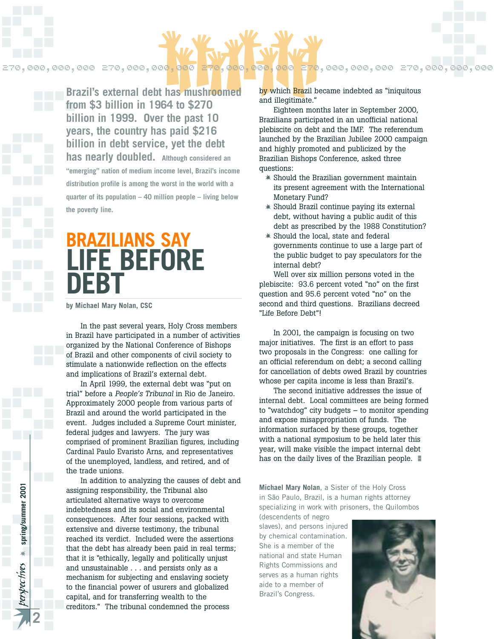

**from \$3 billion in 1964 to \$270 <b>external debt** has mushroomed **billion in 1999. Over the past 10 years, the country has paid \$216 billion in debt service, yet the debt has nearly doubled. Although considered an "emerging" nation of medium income level, Brazil's income distribution profile is among the worst in the world with a quarter of its population – 40 million people – living below the poverty line.**

## **BRAZILIANS SAY LIFE BEFORE DEBT**

**by Michael Mary Nolan, CSC**

In the past several years, Holy Cross members in Brazil have participated in a number of activities organized by the National Conference of Bishops of Brazil and other components of civil society to stimulate a nationwide reflection on the effects and implications of Brazil's external debt.

In April 1999, the external debt was "put on trial" before a *People's Tribunal* in Rio de Janeiro. Approximately 2000 people from various parts of Brazil and around the world participated in the event. Judges included a Supreme Court minister, federal judges and lawyers. The jury was comprised of prominent Brazilian figures, including Cardinal Paulo Evaristo Arns, and representatives of the unemployed, landless, and retired, and of the trade unions.

**E70,**  $\cos \theta$ ,  $\cos \theta$ ,  $\cos \theta$ ,  $\cos \theta$ ,  $\cos \theta$ ,  $\cos \theta$ ,  $\cos \theta$ ,  $\cos \theta$ ,  $\sin \theta$ <br> **Brazil's external debt has mushroomed**<br>
from \$3 billion in 1989. Over the past 10<br>
years, the country has paid \$216<br>
billion in debt service, In addition to analyzing the causes of debt and assigning responsibility, the Tribunal also articulated alternative ways to overcome indebtedness and its social and environmental consequences. After four sessions, packed with extensive and diverse testimony, the tribunal reached its verdict. Included were the assertions that the debt has already been paid in real terms; that it is "ethically, legally and politically unjust and unsustainable . . . and persists only as a mechanism for subjecting and enslaving society to the financial power of usurers and globalized capital, and for transferring wealth to the creditors." The tribunal condemned the process

by which Brazil became indebted as "iniquitous and illegitimate."

Eighteen months later in September 2000, Brazilians participated in an unofficial national plebiscite on debt and the IMF. The referendum launched by the Brazilian Jubilee 2000 campaign and highly promoted and publicized by the Brazilian Bishops Conference, asked three questions:

- Should the Brazilian government maintain its present agreement with the International Monetary Fund?
- Should Brazil continue paying its external debt, without having a public audit of this debt as prescribed by the 1988 Constitution?
- Should the local, state and federal governments continue to use a large part of the public budget to pay speculators for the internal debt?

Well over six million persons voted in the plebiscite: 93.6 percent voted "no" on the first question and 95.6 percent voted "no" on the second and third questions. Brazilians decreed "Life Before Debt"!

In 2001, the campaign is focusing on two major initiatives. The first is an effort to pass two proposals in the Congress: one calling for an official referendum on debt; a second calling for cancellation of debts owed Brazil by countries whose per capita income is less than Brazil's.

The second initiative addresses the issue of internal debt. Local committees are being formed to "watchdog" city budgets – to monitor spending and expose misappropriation of funds. The information surfaced by these groups, together with a national symposium to be held later this year, will make visible the impact internal debt has on the daily lives of the Brazilian people.

**Michael Mary Nolan**, a Sister of the Holy Cross in São Paulo, Brazil, is a human rights attorney specializing in work with prisoners, the Quilombos (descendents of negro

slaves), and persons injured by chemical contamination. She is a member of the national and state Human Rights Commissions and serves as a human rights aide to a member of Brazil's Congress.

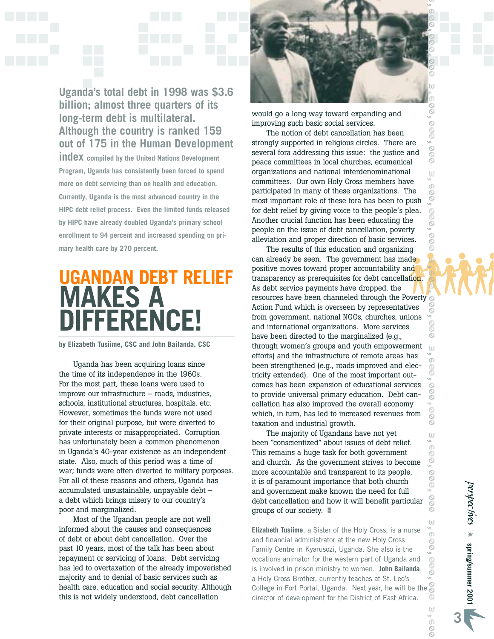SS

e<br>So

w

**O**<br>OO

Sop

Sol

8 ω o<br>G õ

OOO

OOO

 $\langle j \rangle$ Ű. ò ō 8 0

Social

W

U)<br>u  $\sigma$ Ŝ



**out of 175 in the Human Development index compiled by the United Nations Development Program, Uganda has consistently been forced to spend more on debt servicing than on health and education. Currently, Uganda is the most advanced country in the HIPC debt relief process. Even the limited funds released by HIPC have already doubled Uganda's primary school enrollment to 94 percent and increased spending on primary health care by 270 percent.**

## **UGANDAN DEBT RELIEF MAKES A DIFFERENCE!**

**by Elizabeth Tusiime, CSC and John Bailanda, CSC**

Uganda has been acquiring loans since the time of its independence in the 1960s. For the most part, these loans were used to improve our infrastructure – roads, industries, schools, institutional structures, hospitals, etc. However, sometimes the funds were not used for their original purpose, but were diverted to private interests or misappropriated. Corruption has unfortunately been a common phenomenon in Uganda's 40-year existence as an independent state. Also, much of this period was a time of war; funds were often diverted to military purposes. For all of these reasons and others, Uganda has accumulated unsustainable, unpayable debt – a debt which brings misery to our country's poor and marginalized.

Most of the Ugandan people are not well informed about the causes and consequences of debt or about debt cancellation. Over the past 10 years, most of the talk has been about repayment or servicing of loans. Debt servicing has led to overtaxation of the already impoverished majority and to denial of basic services such as health care, education and social security. Although this is not widely understood, debt cancellation



would go a long way toward expanding and improving such basic social services.

The notion of debt cancellation has been strongly supported in religious circles. There are several fora addressing this issue: the justice and peace committees in local churches, ecumenical organizations and national interdenominational committees. Our own Holy Cross members have participated in many of these organizations. The most important role of these fora has been to push for debt relief by giving voice to the people's plea. Another crucial function has been educating the people on the issue of debt cancellation, poverty alleviation and proper direction of basic services.

The results of this education and organizing can already be seen. The government has made positive moves toward proper accountability and transparency as prerequisites for debt cancellation. As debt service payments have dropped, the resources have been channeled through the Poverty Action Fund which is overseen by representatives from government, national NGOs, churches, unions and international organizations. More services have been directed to the marginalized (e.g., through women's groups and youth empowerment efforts) and the infrastructure of remote areas has been strengthened (e.g., roads improved and electricity extended). One of the most important outcomes has been expansion of educational services to provide universal primary education. Debt cancellation has also improved the overall economy which, in turn, has led to increased revenues from taxation and industrial growth.

The majority of Ugandans have not yet been "conscientized" about issues of debt relief. This remains a huge task for both government and church. As the government strives to become more accountable and transparent to its people, it is of paramount importance that both church and government make known the need for full debt cancellation and how it will benefit particular groups of our society. -

**Elizabeth Tusiime**, a Sister of the Holy Cross, is a nurse m and financial administrator at the new Holy Cross 8 Family Centre in Kyarusozi, Uganda. She also is the vocations animator for the western part of Uganda and S<br>S is involved in prison ministry to women. **John Bailanda**, ß) a Holy Cross Brother, currently teaches at St. Leo's College in Fort Portal, Uganda. Next year, he will be the director of development for the District of East Africa.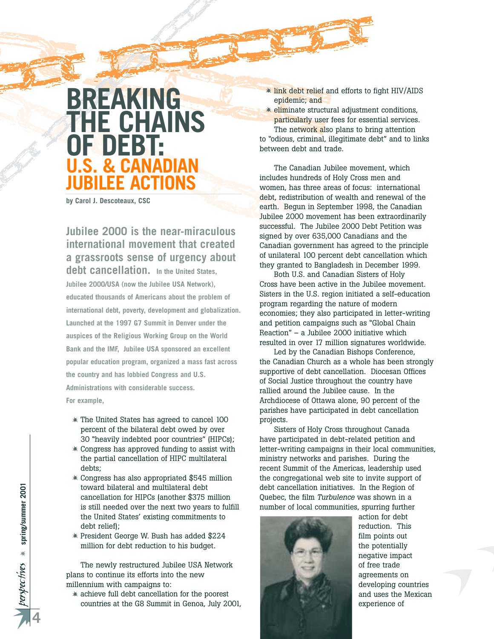## **BREAKING THE CHAINS OF DEBT: U.S. & CANADIAN JUBILEE ACTIONS**

**by Carol J. Descoteaux, CSC**

**Jubilee 2000 is the near-miraculous international movement that created a grassroots sense of urgency about debt cancellation. In the United States, Jubilee 2000/USA (now the Jubilee USA Network), educated thousands of Americans about the problem of international debt, poverty, development and globalization. Launched at the 1997 G7 Summit in Denver under the auspices of the Religious Working Group on the World Bank and the IMF, Jubilee USA sponsored an excellent popular education program, organized a mass fast across the country and has lobbied Congress and U.S. Administrations with considerable success. For example,**

- The United States has agreed to cancel 100 percent of the bilateral debt owed by over 30 "heavily indebted poor countries" (HIPCs);
- Congress has approved funding to assist with the partial cancellation of HIPC multilateral debts;
- Congress has also appropriated \$545 million toward bilateral and multilateral debt cancellation for HIPCs (another \$375 million is still needed over the next two years to fulfill the United States' existing commitments to debt relief);
- President George W. Bush has added \$224 million for debt reduction to his budget.

The newly restructured Jubilee USA Network plans to continue its efforts into the new millennium with campaigns to:

- achieve full debt cancellation for the poorest countries at the G8 Summit in Genoa, July 2001, **\* link debt relief and efforts to fight HIV/AIDS** epidemic; and

 $\triangleq$  eliminate structural adjustment conditions, particularly user fees for essential services.

The network also plans to bring attention to "odious, criminal, illegitimate debt" and to links between debt and trade.

The Canadian Jubilee movement, which includes hundreds of Holy Cross men and women, has three areas of focus: international debt, redistribution of wealth and renewal of the earth. Begun in September 1998, the Canadian Jubilee 2000 movement has been extraordinarily successful. The Jubilee 2000 Debt Petition was signed by over 635,000 Canadians and the Canadian government has agreed to the principle of unilateral 100 percent debt cancellation which they granted to Bangladesh in December 1999.

Both U.S. and Canadian Sisters of Holy Cross have been active in the Jubilee movement. Sisters in the U.S. region initiated a self-education program regarding the nature of modern economies; they also participated in letter-writing and petition campaigns such as "Global Chain Reaction" – a Jubilee 2000 initiative which resulted in over 17 million signatures worldwide.

Led by the Canadian Bishops Conference, the Canadian Church as a whole has been strongly supportive of debt cancellation. Diocesan Offices of Social Justice throughout the country have rallied around the Jubilee cause. In the Archdiocese of Ottawa alone, 90 percent of the parishes have participated in debt cancellation projects.

Sisters of Holy Cross throughout Canada have participated in debt-related petition and letter-writing campaigns in their local communities, ministry networks and parishes. During the recent Summit of the Americas, leadership used the congregational web site to invite support of debt cancellation initiatives. In the Region of Quebec, the film *Turbulence* was shown in a number of local communities, spurring further



action for debt reduction. This film points out the potentially negative impact of free trade agreements on developing countries and uses the Mexican experience of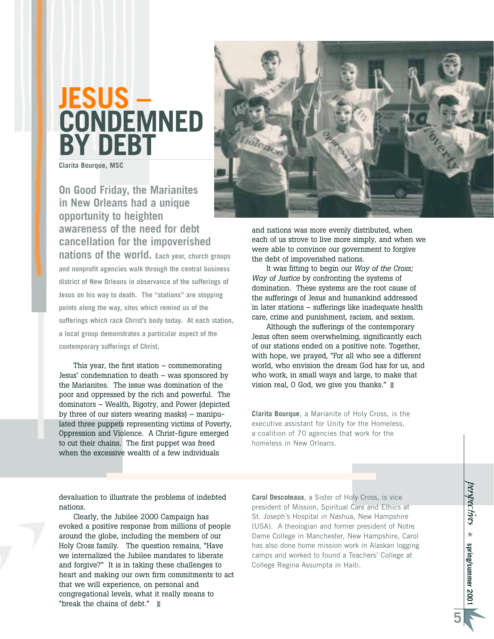## **JESUS – CONDEMNED BY DEBT**

**Clarita Bourque, MSC**

#### **On Good Friday, the Marianites in New Orleans had a unique opportunity to heighten awareness of the need for debt cancellation for the impoverished nations of the world. Each year, church groups**

**and nonprofit agencies walk through the central business district of New Orleans in observance of the sufferings of Jesus on his way to death. The "stations" are stopping points along the way, sites which remind us of the sufferings which rack Christ's body today. At each station, a local group demonstrates a particular aspect of the contemporary sufferings of Christ.** 

This year, the first station – commemorating Jesus' condemnation to death – was sponsored by the Marianites. The issue was domination of the poor and oppressed by the rich and powerful. The dominators – Wealth, Bigotry, and Power (depicted by three of our sisters wearing masks) – manipulated three puppets representing victims of Poverty, Oppression and Violence. A Christ-figure emerged to cut their chains. The first puppet was freed when the excessive wealth of a few individuals



and nations was more evenly distributed, when each of us strove to live more simply, and when we were able to convince our government to forgive the debt of impoverished nations.

It was fitting to begin our *Way of the Cross; Way of Justice* by confronting the systems of domination. These systems are the root cause of the sufferings of Jesus and humankind addressed in later stations – sufferings like inadequate health care, crime and punishment, racism, and sexism.

Although the sufferings of the contemporary Jesus often seem overwhelming, significantly each of our stations ended on a positive note. Together, with hope, we prayed, "For all who see a different world, who envision the dream God has for us, and who work, in small ways and large, to make that vision real, O God, we give you thanks."

**Clarita Bourque**, a Marianite of Holy Cross, is the executive assistant for Unity for the Homeless, a coalition of 70 agencies that work for the homeless in New Orleans.

devaluation to illustrate the problems of indebted nations.

Clearly, the Jubilee 2000 Campaign has evoked a positive response from millions of people around the globe, including the members of our Holy Cross family. The question remains, "Have we internalized the Jubilee mandates to liberate and forgive?" It is in taking these challenges to heart and making our own firm commitments to act that we will experience, on personal and congregational levels, what it really means to "break the chains of debt." -

**Carol Descoteaux**, a Sister of Holy Cross, is vice president of Mission, Spiritual Care and Ethics at St. Joseph's Hospital in Nashua, New Hampshire (USA). A theologian and former president of Notre Dame College in Manchester, New Hampshire, Carol has also done home mission work in Alaskan logging camps and worked to found a Teachers' College at College Regina Assumpta in Haiti.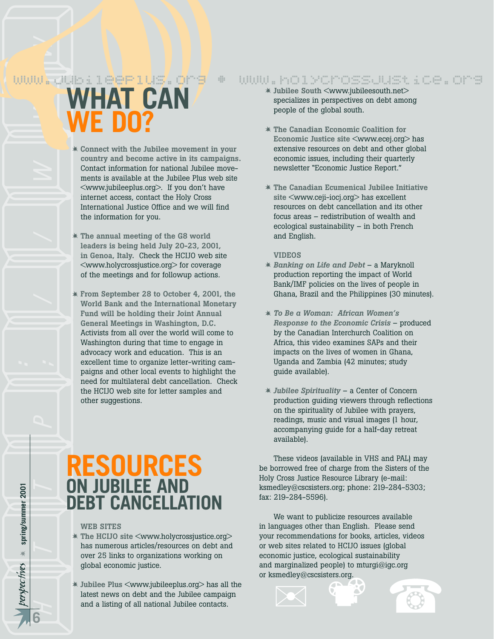## $w$ ww $\sum$ ubile $e$ Plus $\ell$ org • www.holycrossjustice.org

*perspec* http://www **WHAT CAN WE DO?**

- **Connect with the Jubilee movement in your country and become active in its campaigns.** Contact information for national Jubilee movements is available at the Jubilee Plus web site <www.jubileeplus.org>. If you don't have internet access, contact the Holy Cross International Justice Office and we will find the information for you.
- **The annual meeting of the G8 world leaders is being held July 20-23, 2001, in Genoa, Italy.** Check the HCIJO web site <www.holycrossjustice.org> for coverage of the meetings and for followup actions.
- **From September 28 to October 4, 2001, the World Bank and the International Monetary Fund will be holding their Joint Annual General Meetings in Washington, D.C.** Activists from all over the world will come to Washington during that time to engage in advocacy work and education. This is an excellent time to organize letter-writing campaigns and other local events to highlight the need for multilateral debt cancellation. Check the HCIJO web site for letter samples and other suggestions.

## **RESOURCES ON JUBILEE AND DEBT CANCELLATION**

#### **WEB SITES**

- **The HCIJO site** <www.holycrossjustice.org> has numerous articles/resources on debt and over 25 links to organizations working on global economic justice.
- **Jubilee Plus** <www.jubileeplus.org> has all the latest news on debt and the Jubilee campaign and a listing of all national Jubilee contacts.
- **Jubilee South** <www.jubileesouth.net> specializes in perspectives on debt among people of the global south.
- **The Canadian Economic Coalition for Economic Justice site** <www.ecej.org> has extensive resources on debt and other global economic issues, including their quarterly newsletter "Economic Justice Report."
- **The Canadian Ecumenical Jubilee Initiative site** <www.ceji-iocj.org> has excellent resources on debt cancellation and its other focus areas – redistribution of wealth and ecological sustainability – in both French and English.

#### **VIDEOS**

- *Banking on Life and Debt*  a Maryknoll production reporting the impact of World Bank/IMF policies on the lives of people in Ghana, Brazil and the Philippines (30 minutes).
- *To Be a Woman: African Women's Response to the Economic Crisis* – produced by the Canadian Interchurch Coalition on Africa, this video examines SAPs and their impacts on the lives of women in Ghana, Uganda and Zambia (42 minutes; study guide available).
- *Jubilee Spirituality* a Center of Concern production guiding viewers through reflections on the spirituality of Jubilee with prayers, readings, music and visual images (1 hour, accompanying guide for a half-day retreat available).

These videos (available in VHS and PAL) may be borrowed free of charge from the Sisters of the Holy Cross Justice Resource Library (e-mail: ksmedley@cscsisters.org; phone: 219-284-5303; fax: 219-284-5596).

your recommendations for books, articles, videor<br>or web sites related to HCIJO issues (global<br>economic justice, ecological sustainability<br>and marginalized people) to mturgi@igc.org<br>or ksmedley@cscsisters.org. We want to publicize resources available in languages other than English. Please send your recommendations for books, articles, videos economic justice, ecological sustainability and marginalized people) to mturgi@igc.org or ksmedley@cscsisters.org.

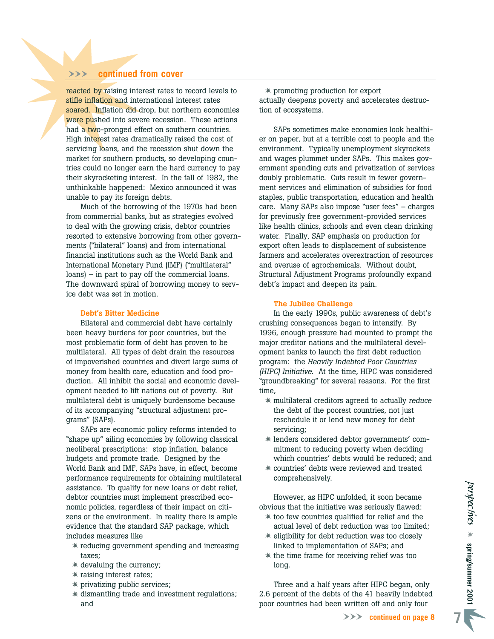#### WWW **continued from cover**

reacted by raising interest rates to record levels to stifle inflation and international interest rates soared. Inflation did drop, but northern economies were pushed into severe recession. These actions had a two-pronged effect on southern countries. High interest rates dramatically raised the cost of servicing loans, and the recession shut down the market for southern products, so developing countries could no longer earn the hard currency to pay their skyrocketing interest. In the fall of 1982, the unthinkable happened: Mexico announced it was unable to pay its foreign debts.

Much of the borrowing of the 1970s had been from commercial banks, but as strategies evolved to deal with the growing crisis, debtor countries resorted to extensive borrowing from other governments ("bilateral" loans) and from international financial institutions such as the World Bank and International Monetary Fund (IMF) ("multilateral" loans) – in part to pay off the commercial loans. The downward spiral of borrowing money to service debt was set in motion.

#### **Debt's Bitter Medicine**

Bilateral and commercial debt have certainly been heavy burdens for poor countries, but the most problematic form of debt has proven to be multilateral. All types of debt drain the resources of impoverished countries and divert large sums of money from health care, education and food production. All inhibit the social and economic development needed to lift nations out of poverty. But multilateral debt is uniquely burdensome because of its accompanying "structural adjustment programs" (SAPs).

SAPs are economic policy reforms intended to "shape up" ailing economies by following classical neoliberal prescriptions: stop inflation, balance budgets and promote trade. Designed by the World Bank and IMF, SAPs have, in effect, become performance requirements for obtaining multilateral assistance. To qualify for new loans or debt relief, debtor countries must implement prescribed economic policies, regardless of their impact on citizens or the environment. In reality there is ample evidence that the standard SAP package, which includes measures like

- reducing government spending and increasing taxes;
- devaluing the currency;
- raising interest rates;
- privatizing public services;
- dismantling trade and investment regulations; and

- promoting production for export actually deepens poverty and accelerates destruction of ecosystems.

SAPs sometimes make economies look healthier on paper, but at a terrible cost to people and the environment. Typically unemployment skyrockets and wages plummet under SAPs. This makes government spending cuts and privatization of services doubly problematic. Cuts result in fewer government services and elimination of subsidies for food staples, public transportation, education and health care. Many SAPs also impose "user fees" – charges for previously free government-provided services like health clinics, schools and even clean drinking water. Finally, SAP emphasis on production for export often leads to displacement of subsistence farmers and accelerates overextraction of resources and overuse of agrochemicals. Without doubt, Structural Adjustment Programs profoundly expand debt's impact and deepen its pain.

#### **The Jubilee Challenge**

In the early 1990s, public awareness of debt's crushing consequences began to intensify. By 1996, enough pressure had mounted to prompt the major creditor nations and the multilateral development banks to launch the first debt reduction program: the *Heavily Indebted Poor Countries (HIPC) Initiative.* At the time, HIPC was considered "groundbreaking" for several reasons. For the first time,

- multilateral creditors agreed to actually *reduce* the debt of the poorest countries, not just reschedule it or lend new money for debt servicing;
- lenders considered debtor governments' commitment to reducing poverty when deciding which countries' debts would be reduced; and
- countries' debts were reviewed and treated comprehensively.

However, as HIPC unfolded, it soon became obvious that the initiative was seriously flawed:

- $*$  too few countries qualified for relief and the actual level of debt reduction was too limited;
- eligibility for debt reduction was too closely linked to implementation of SAPs; and
- the time frame for receiving relief was too long.

Three and a half years after HIPC began, only 2.6 percent of the debts of the 41 heavily indebted poor countries had been written off and only four